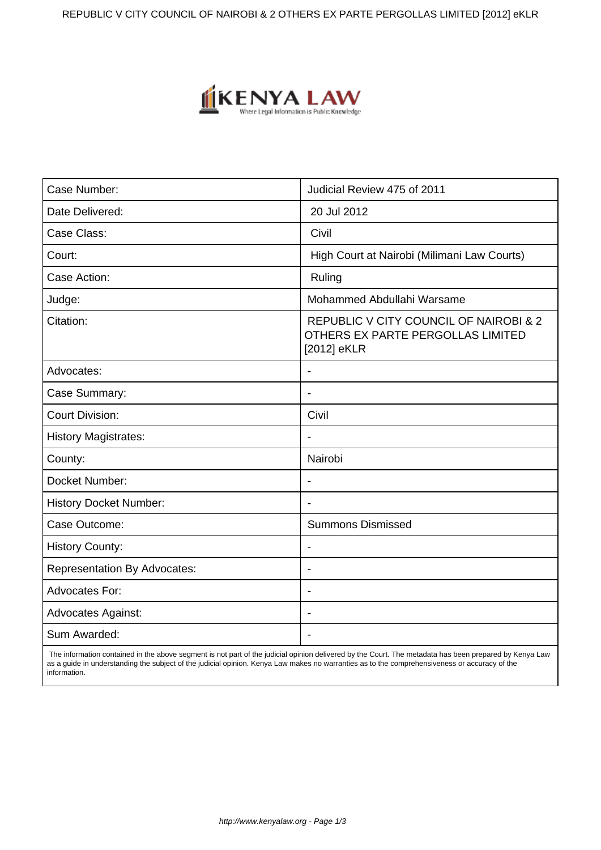REPUBLIC V CITY COUNCIL OF NAIROBI & 2 OTHERS EX PARTE PERGOLLAS LIMITED [2012] eKLR



| Case Number:                        | Judicial Review 475 of 2011                                                                           |
|-------------------------------------|-------------------------------------------------------------------------------------------------------|
| Date Delivered:                     | 20 Jul 2012                                                                                           |
| Case Class:                         | Civil                                                                                                 |
| Court:                              | High Court at Nairobi (Milimani Law Courts)                                                           |
| Case Action:                        | Ruling                                                                                                |
| Judge:                              | Mohammed Abdullahi Warsame                                                                            |
| Citation:                           | <b>REPUBLIC V CITY COUNCIL OF NAIROBI &amp; 2</b><br>OTHERS EX PARTE PERGOLLAS LIMITED<br>[2012] eKLR |
| Advocates:                          | $\overline{\phantom{a}}$                                                                              |
| Case Summary:                       | $\blacksquare$                                                                                        |
| <b>Court Division:</b>              | Civil                                                                                                 |
| <b>History Magistrates:</b>         |                                                                                                       |
| County:                             | Nairobi                                                                                               |
| Docket Number:                      | $\overline{\phantom{a}}$                                                                              |
| <b>History Docket Number:</b>       |                                                                                                       |
| Case Outcome:                       | <b>Summons Dismissed</b>                                                                              |
| <b>History County:</b>              |                                                                                                       |
| <b>Representation By Advocates:</b> | $\blacksquare$                                                                                        |
| <b>Advocates For:</b>               | $\overline{\phantom{0}}$                                                                              |
| <b>Advocates Against:</b>           |                                                                                                       |
| Sum Awarded:                        |                                                                                                       |

 The information contained in the above segment is not part of the judicial opinion delivered by the Court. The metadata has been prepared by Kenya Law as a guide in understanding the subject of the judicial opinion. Kenya Law makes no warranties as to the comprehensiveness or accuracy of the information.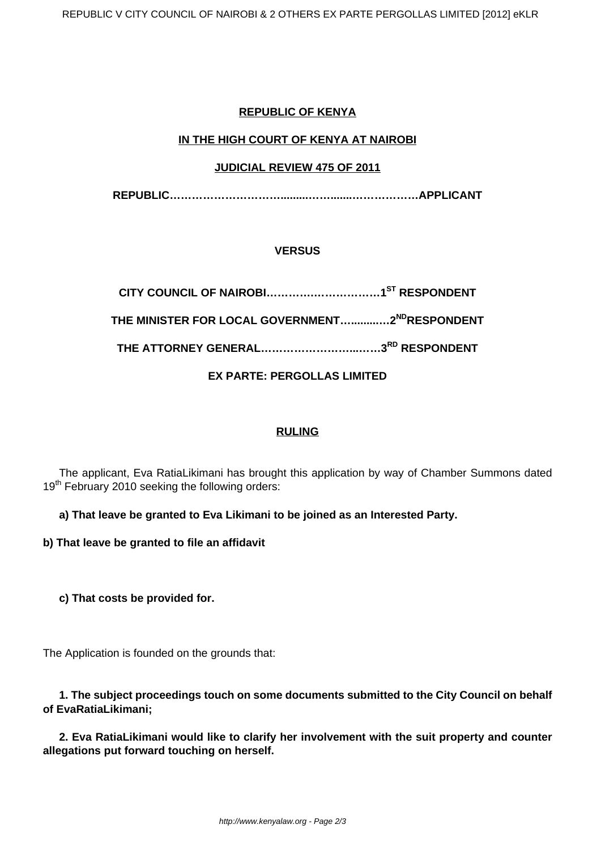# **REPUBLIC OF KENYA**

# **IN THE HIGH COURT OF KENYA AT NAIROBI**

### **JUDICIAL REVIEW 475 OF 2011**

**REPUBLIC………………………….........…….......………………APPLICANT**

### **VERSUS**

**CITY COUNCIL OF NAIROBI………….………………1ST RESPONDENT THE MINISTER FOR LOCAL GOVERNMENT….........…2NDRESPONDENT THE ATTORNEY GENERAL……………………...……3RD RESPONDENT**

### **EX PARTE: PERGOLLAS LIMITED**

#### **RULING**

The applicant, Eva RatiaLikimani has brought this application by way of Chamber Summons dated 19<sup>th</sup> February 2010 seeking the following orders:

**a) That leave be granted to Eva Likimani to be joined as an Interested Party.**

**b) That leave be granted to file an affidavit**

**c) That costs be provided for.**

The Application is founded on the grounds that:

**1. The subject proceedings touch on some documents submitted to the City Council on behalf of EvaRatiaLikimani;**

**2. Eva RatiaLikimani would like to clarify her involvement with the suit property and counter allegations put forward touching on herself.**